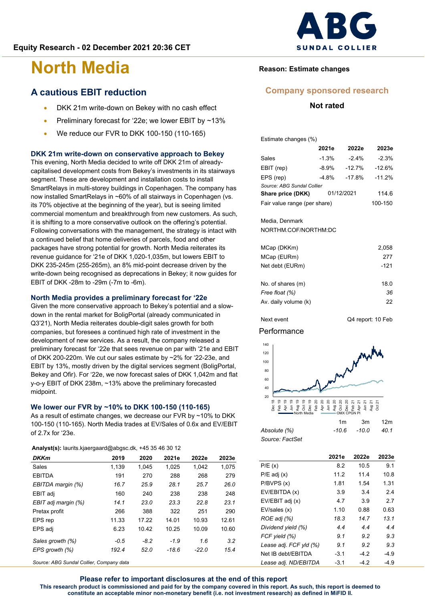### **A cautious EBIT reduction**

- DKK 21m write-down on Bekey with no cash effect
- Preliminary forecast for '22e; we lower EBIT by ~13%
- We reduce our FVR to DKK 100-150 (110-165)

#### **DKK 21m write-down on conservative approach to Bekey**

This evening, North Media decided to write off DKK 21m of alreadycapitalised development costs from Bekey's investments in its stairways segment. These are development and installation costs to install SmartRelays in multi-storey buildings in Copenhagen. The company has now installed SmartRelays in ~60% of all stairways in Copenhagen (vs. its 70% objective at the beginning of the year), but is seeing limited commercial momentum and breakthrough from new customers. As such, it is shifting to a more conservative outlook on the offering's potential. Following conversations with the management, the strategy is intact with a continued belief that home deliveries of parcels, food and other packages have strong potential for growth. North Media reiterates its revenue guidance for '21e of DKK 1,020-1,035m, but lowers EBIT to DKK 235-245m (255-265m), an 8% mid-point decrease driven by the write-down being recognised as deprecations in Bekey; it now guides for EBIT of DKK -28m to -29m (-7m to -6m).

#### **North Media provides a preliminary forecast for '22e**

Given the more conservative approach to Bekey's potential and a slowdown in the rental market for BoligPortal (already communicated in Q3'21), North Media reiterates double-digit sales growth for both companies, but foresees a continued high rate of investment in the development of new services. As a result, the company released a preliminary forecast for '22e that sees revenue on par with '21e and EBIT of DKK 200-220m. We cut our sales estimate by ~2% for '22-23e, and EBIT by 13%, mostly driven by the digital services segment (BoligPortal, Bekey and Ofir). For '22e, we now forecast sales of DKK 1,042m and flat y-o-y EBIT of DKK 238m, ~13% above the preliminary forecasted midpoint.

#### **We lower our FVR by ~10% to DKK 100-150 (110-165)**

As a result of estimate changes, we decrease our FVR by ~10% to DKK 100-150 (110-165). North Media trades at EV/Sales of 0.6x and EV/EBIT of 2.7x for '23e.

|  | Analyst(s): laurits.kjaergaard@abgsc.dk, +45 35 46 30 12 |  |  |  |  |  |
|--|----------------------------------------------------------|--|--|--|--|--|
|--|----------------------------------------------------------|--|--|--|--|--|

| <b>DKKm</b>         | 2019   | 2020   | 2021e   | 2022e   | 2023e |
|---------------------|--------|--------|---------|---------|-------|
| Sales               | 1.139  | 1.045  | 1.025   | 1.042   | 1.075 |
| <b>EBITDA</b>       | 191    | 270    | 288     | 268     | 279   |
| EBITDA margin (%)   | 16.7   | 25.9   | 28.1    | 25.7    | 26.0  |
| EBIT adj            | 160    | 240    | 238     | 238     | 248   |
| EBIT adj margin (%) | 14.1   | 23.0   | 23.3    | 22.8    | 23.1  |
| Pretax profit       | 266    | 388    | 322     | 251     | 290   |
| EPS rep             | 11.33  | 17.22  | 14.01   | 10.93   | 12.61 |
| EPS adj             | 6.23   | 10.42  | 10.25   | 10.09   | 10.60 |
| Sales growth (%)    | $-0.5$ | $-8.2$ | $-1.9$  | 1.6     | 3.2   |
| EPS growth (%)      | 192.4  | 52.0   | $-18.6$ | $-22.0$ | 15.4  |

*Source: ABG Sundal Collier, Company data*



#### **Reason: Estimate changes**

#### **Company sponsored research**

#### **Not rated**

Estimate changes (%)

|                              | 2021e      | 2022e    | 2023e    |
|------------------------------|------------|----------|----------|
| Sales                        | $-1.3%$    | $-2.4%$  | $-2.3%$  |
| EBIT (rep)                   | $-8.9%$    | $-12.7%$ | $-12.6%$ |
| EPS (rep)                    | $-4.8%$    | $-17.8%$ | $-11.2%$ |
| Source: ABG Sundal Collier   |            |          |          |
| Share price (DKK)            | 01/12/2021 | 114.6    |          |
| Fair value range (per share) |            | 100-150  |          |

#### Media, Denmark

NORTHM.COF/NORTHM:DC

| MCap (DKKm)          | 2.058 |
|----------------------|-------|
| MCap (EURm)          | 277   |
| Net debt (EURm)      | -121  |
| No. of shares (m)    | 18.0  |
| Free float (%)       | 36    |
| Av. daily volume (k) | 22    |

Next event Q4 report: 10 Feb

#### Performance

*Source: FactSet*



*Absolute (%) -10.6 -10.0 40.1*

|                        | 2021e  | 2022e  | 2023e  |
|------------------------|--------|--------|--------|
| P/E(x)                 | 8.2    | 10.5   | 9.1    |
| $P/E$ adj $(x)$        | 11.2   | 11.4   | 10.8   |
| P/BVPS(x)              | 1.81   | 1.54   | 1.31   |
| EV/EBITDA (x)          | 3.9    | 3.4    | 2.4    |
| EV/EBIT adj (x)        | 4.7    | 3.9    | 2.7    |
| EV/sales (x)           | 1.10   | 0.88   | 0.63   |
| ROE adj (%)            | 18.3   | 14.7   | 13.1   |
| Dividend yield (%)     | 4.4    | 4.4    | 4.4    |
| FCF yield (%)          | 9.1    | 92     | 9.3    |
| Lease adj. FCF yld (%) | 9.1    | 9.2    | 9.3    |
| Net IB debt/EBITDA     | $-3.1$ | $-4.2$ | $-4.9$ |
| Lease adj. ND/EBITDA   | $-3.1$ | $-4.2$ | $-4.9$ |

**Please refer to important disclosures at the end of this report This research product is commissioned and paid for by the company covered in this report. As such, this report is deemed to constitute an acceptable minor non-monetary benefit (i.e. not investment research) as defined in MiFID II.**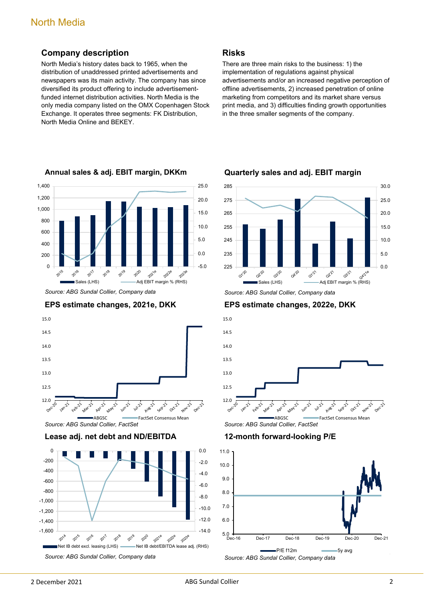#### **Company description**

North Media's history dates back to 1965, when the distribution of unaddressed printed advertisements and newspapers was its main activity. The company has since diversified its product offering to include advertisementfunded internet distribution activities. North Media is the only media company listed on the OMX Copenhagen Stock Exchange. It operates three segments: FK Distribution, North Media Online and BEKEY.



**Annual sales & adj. EBIT margin, DKKm**

*Source: ABG Sundal Collier, Company data*





*Source: ABG Sundal Collier, FactSet*

**Lease adj. net debt and ND/EBITDA**



There are three main risks to the business: 1) the implementation of regulations against physical advertisements and/or an increased negative perception of offline advertisements, 2) increased penetration of online marketing from competitors and its market share versus print media, and 3) difficulties finding growth opportunities in the three smaller segments of the company.



**Quarterly sales and adj. EBIT margin**

**EPS estimate changes, 2022e, DKK**



**12-month forward-looking P/E**



*Source: ABG Sundal Collier, Company data*

**Risks**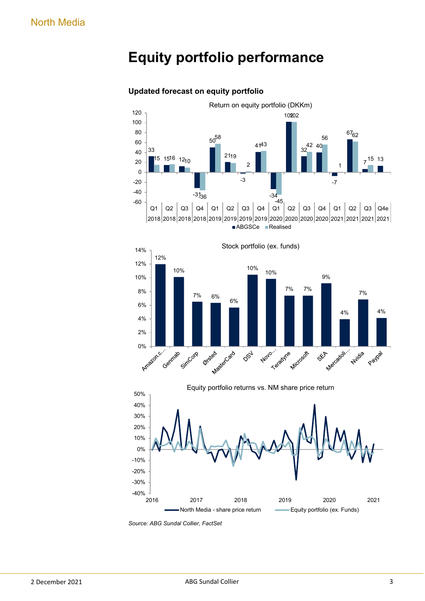# **Equity portfolio performance**



#### **Updated forecast on equity portfolio**





*Source: ABG Sundal Collier, FactSet*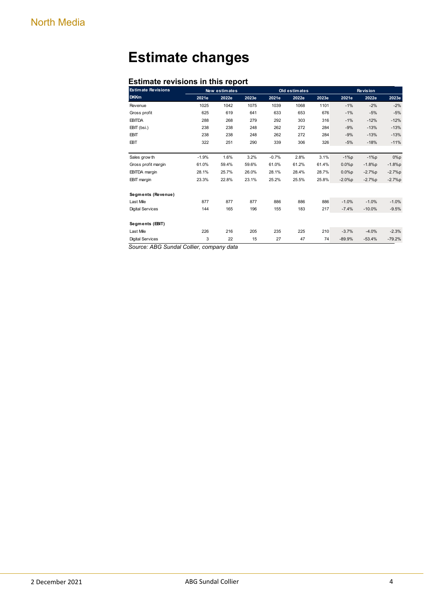# **Estimate changes**

#### **Estimate revisions in this report**

| <b>Estimate Revisions</b> |         | New estimates |       |         | Old estimates |       |          | <b>Revision</b> |          |  |
|---------------------------|---------|---------------|-------|---------|---------------|-------|----------|-----------------|----------|--|
| <b>DKKm</b>               | 2021e   | 2022e         | 2023e | 2021e   | 2022e         | 2023e | 2021e    | 2022e           | 2023e    |  |
| Revenue                   | 1025    | 1042          | 1075  | 1039    | 1068          | 1101  | $-1%$    | $-2%$           | $-2%$    |  |
| Gross profit              | 625     | 619           | 641   | 633     | 653           | 676   | $-1%$    | $-5%$           | $-5%$    |  |
| <b>EBITDA</b>             | 288     | 268           | 279   | 292     | 303           | 316   | $-1%$    | $-12%$          | $-12%$   |  |
| EBIT (bsi.)               | 238     | 238           | 248   | 262     | 272           | 284   | $-9%$    | $-13%$          | $-13%$   |  |
| <b>EBIT</b>               | 238     | 238           | 248   | 262     | 272           | 284   | $-9%$    | $-13%$          | $-13%$   |  |
| EBT                       | 322     | 251           | 290   | 339     | 306           | 326   | $-5%$    | $-18%$          | $-11%$   |  |
|                           |         |               |       |         |               |       |          |                 |          |  |
| Sales grow th             | $-1.9%$ | 1.6%          | 3.2%  | $-0.7%$ | 2.8%          | 3.1%  | $-1\%p$  | $-1\%p$         | $0\%p$   |  |
| Gross profit margin       | 61.0%   | 59.4%         | 59.6% | 61.0%   | 61.2%         | 61.4% | 0.0%p    | $-1.8%p$        | $-1.8%p$ |  |
| <b>EBITDA</b> margin      | 28.1%   | 25.7%         | 26.0% | 28.1%   | 28.4%         | 28.7% | 0.0%p    | $-2.7%p$        | $-2.7%p$ |  |
| <b>EBIT</b> margin        | 23.3%   | 22.8%         | 23.1% | 25.2%   | 25.5%         | 25.8% | $-2.0%p$ | $-2.7%p$        | $-2.7%p$ |  |
|                           |         |               |       |         |               |       |          |                 |          |  |
| Segments (Revenue)        |         |               |       |         |               |       |          |                 |          |  |
| Last Mile                 | 877     | 877           | 877   | 886     | 886           | 886   | $-1.0%$  | $-1.0%$         | $-1.0%$  |  |
| <b>Digital Services</b>   | 144     | 165           | 196   | 155     | 183           | 217   | $-7.4%$  | $-10.0%$        | $-9.5%$  |  |
|                           |         |               |       |         |               |       |          |                 |          |  |
| Segments (EBIT)           |         |               |       |         |               |       |          |                 |          |  |
| Last Mile                 | 226     | 216           | 205   | 235     | 225           | 210   | $-3.7%$  | $-4.0%$         | $-2.3%$  |  |
| <b>Digital Services</b>   | 3       | 22            | 15    | 27      | 47            | 74    | $-89.9%$ | $-53.4%$        | $-79.2%$ |  |
|                           |         | $d = 4$       |       |         |               |       |          |                 |          |  |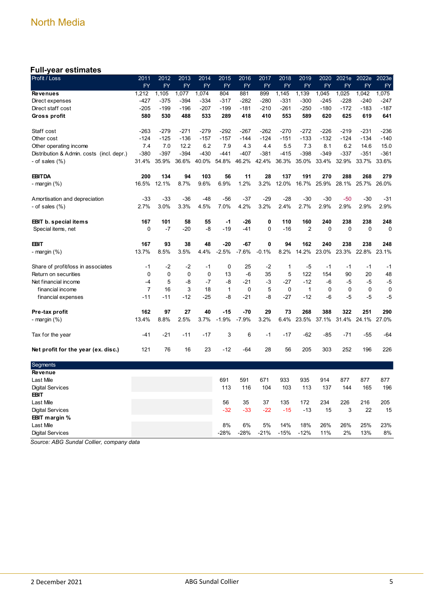#### **Full-year estimates**

| Profit / Loss                             | 2011           | 2012        | 2013      | 2014        | 2015         | 2016      | 2017      | 2018        | 2019           | 2020        | 2021e     | 2022e       | 2023e     |
|-------------------------------------------|----------------|-------------|-----------|-------------|--------------|-----------|-----------|-------------|----------------|-------------|-----------|-------------|-----------|
|                                           | <b>FY</b>      | <b>FY</b>   | <b>FY</b> | <b>FY</b>   | <b>FY</b>    | <b>FY</b> | <b>FY</b> | <b>FY</b>   | <b>FY</b>      | <b>FY</b>   | <b>FY</b> | <b>FY</b>   | <b>FY</b> |
| <b>Revenues</b>                           | 1,212          | 1,105       | 1,077     | 1,074       | 804          | 881       | 899       | 1,145       | 1,139          | 1,045       | 1,025     | 1,042       | 1,075     |
| Direct expenses                           | $-427$         | $-375$      | $-394$    | $-334$      | $-317$       | $-282$    | $-280$    | $-331$      | $-300$         | $-245$      | $-228$    | $-240$      | -247      |
| Direct staff cost                         | $-205$         | $-199$      | $-196$    | $-207$      | $-199$       | $-181$    | $-210$    | $-261$      | $-250$         | $-180$      | $-172$    | $-183$      | $-187$    |
| Gross profit                              | 580            | 530         | 488       | 533         | 289          | 418       | 410       | 553         | 589            | 620         | 625       | 619         | 641       |
| Staff cost                                | $-263$         | $-279$      | $-271$    | $-279$      | $-292$       | $-267$    | $-262$    | $-270$      | -272           | -226        | $-219$    | -231        | $-236$    |
| Other cost                                | $-124$         | $-125$      | $-136$    | $-157$      | $-157$       | $-144$    | $-124$    | $-151$      | $-133$         | $-132$      | $-124$    | $-134$      | $-140$    |
| Other operating income                    | 7.4            | 7.0         | 12.2      | 6.2         | 7.9          | 4.3       | 4.4       | 5.5         | 7.3            | 8.1         | 6.2       | 14.6        | 15.0      |
| Distribution & Admin. costs (incl. depr.) | $-380$         | $-397$      | $-394$    | $-430$      | $-441$       | $-407$    | $-381$    | $-415$      | $-398$         | $-349$      | $-337$    | $-351$      | $-361$    |
| - of sales (%)                            | 31.4%          | 35.9%       | 36.6%     | 40.0%       | 54.8%        | 46.2%     | 42.4%     | 36.3%       | 35.0%          | 33.4%       | 32.9%     | 33.7%       | 33.6%     |
| <b>EBITDA</b>                             | 200            | 134         | 94        | 103         | 56           | 11        | 28        | 137         | 191            | 270         | 288       | 268         | 279       |
| - margin (%)                              | 16.5%          | 12.1%       | 8.7%      | 9.6%        | 6.9%         | 1.2%      | 3.2%      | 12.0%       | 16.7%          | 25.9%       | 28.1%     | 25.7%       | 26.0%     |
| Amortisation and depreciation             | $-33$          | $-33$       | $-36$     | $-48$       | $-56$        | $-37$     | $-29$     | -28         | $-30$          | $-30$       | $-50$     | $-30$       | $-31$     |
| - of sales $(\%)$                         | 2.7%           | 3.0%        | 3.3%      | 4.5%        | 7.0%         | 4.2%      | 3.2%      | 2.4%        | 2.7%           | 2.9%        | 2.9%      | 2.9%        | 2.9%      |
| <b>EBIT</b> b. special items              | 167            | 101         | 58        | 55          | -1           | $-26$     | 0         | 110         | 160            | 240         | 238       | 238         | 248       |
| Special items, net                        | 0              | $-7$        | $-20$     | -8          | $-19$        | $-41$     | 0         | $-16$       | $\overline{2}$ | $\mathbf 0$ | 0         | 0           | 0         |
| <b>EBIT</b>                               | 167            | 93          | 38        | 48          | $-20$        | -67       | 0         | 94          | 162            | 240         | 238       | 238         | 248       |
| - margin (%)                              | 13.7%          | 8.5%        | 3.5%      | 4.4%        | $-2.5%$      | $-7.6%$   | $-0.1%$   | 8.2%        | 14.2%          | 23.0%       | 23.3%     | 22.8%       | 23.1%     |
| Share of profit/loss in associates        | $-1$           | -2          | $-2$      | $-1$        | 0            | 25        | $-2$      | 1           | -5             | $-1$        | -1        | -1          | $-1$      |
| Return on securities                      | $\mathbf 0$    | $\mathbf 0$ | 0         | $\mathbf 0$ | 13           | $-6$      | 35        | 5           | 122            | 154         | 90        | 20          | 48        |
| Net financial income                      | $-4$           | 5           | -8        | $-7$        | -8           | $-21$     | -3        | $-27$       | $-12$          | $-6$        | $-5$      | -5          | $-5$      |
| financial income                          | $\overline{7}$ | 16          | 3         | 18          | $\mathbf{1}$ | 0         | 5         | $\mathbf 0$ | $\mathbf{1}$   | 0           | 0         | $\mathbf 0$ | 0         |
| financial expenses                        | $-11$          | $-11$       | $-12$     | $-25$       | -8           | $-21$     | -8        | $-27$       | $-12$          | $-6$        | $-5$      | -5          | $-5$      |
| Pre-tax profit                            | 162            | 97          | 27        | 40          | $-15$        | $-70$     | 29        | 73          | 268            | 388         | 322       | 251         | 290       |
| - margin (%)                              | 13.4%          | 8.8%        | 2.5%      | 3.7%        | $-1.9%$      | $-7.9%$   | 3.2%      | 6.4%        | 23.5%          | 37.1%       | 31.4%     | 24.1%       | 27.0%     |
| Tax for the year                          | $-41$          | $-21$       | $-11$     | $-17$       | 3            | 6         | -1        | $-17$       | $-62$          | $-85$       | $-71$     | $-55$       | $-64$     |
| Net profit for the year (ex. disc.)       | 121            | 76          | 16        | 23          | $-12$        | -64       | 28        | 56          | 205            | 303         | 252       | 196         | 226       |
| Segments                                  |                |             |           |             |              |           |           |             |                |             |           |             |           |
| Revenue                                   |                |             |           |             |              |           |           |             |                |             |           |             |           |
| Last Mile                                 |                |             |           |             | 691          | 591       | 671       | 933         | 935            | 914         | 877       | 877         | 877       |
| <b>Digital Services</b>                   |                |             |           |             | 113          | 116       | 104       | 103         | 113            | 137         | 144       | 165         | 196       |
| <b>EBIT</b>                               |                |             |           |             |              |           |           |             |                |             |           |             |           |
| Last Mile                                 |                |             |           |             | 56           | 35        | 37        | 135         | 172            | 234         | 226       | 216         | 205       |
| <b>Digital Services</b>                   |                |             |           |             | $-32$        | $-33$     | $-22$     | $-15$       | $-13$          | 15          | 3         | 22          | 15        |
| EBIT margin %                             |                |             |           |             |              |           |           |             |                |             |           |             |           |
| Last Mile                                 |                |             |           |             | 8%           | 6%        | 5%        | 14%         | 18%            | 26%         | 26%       | 25%         | 23%       |
| <b>Digital Services</b>                   |                |             |           |             | $-28%$       | $-28%$    | $-21%$    | $-15%$      | $-12%$         | 11%         | 2%        | 13%         | 8%        |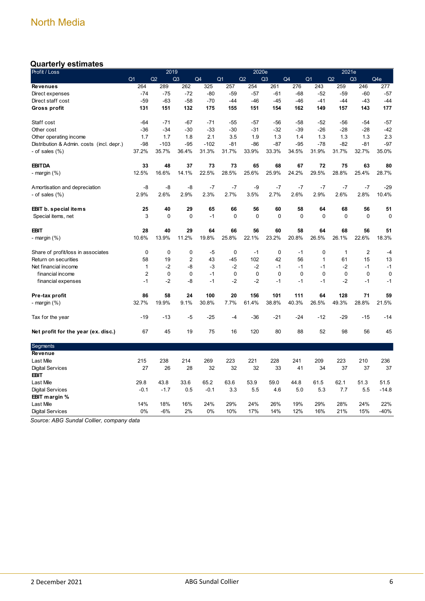### **Quarterly estimates**

| Profit / Loss                             |                | 2019        |                |        |                |             | 2020e          |             |                | 2021e       |                |             |
|-------------------------------------------|----------------|-------------|----------------|--------|----------------|-------------|----------------|-------------|----------------|-------------|----------------|-------------|
|                                           | Q <sub>1</sub> | Q2          | Q <sub>3</sub> | Q4     | Q <sub>1</sub> | Q2          | Q <sub>3</sub> | Q4          | Q <sub>1</sub> | Q2          | Q <sub>3</sub> | Q4e         |
| <b>Revenues</b>                           | 264            | 289         | 262            | 325    | 257            | 254         | 261            | 276         | 243            | 259         | 246            | 277         |
| Direct expenses                           | $-74$          | $-75$       | $-72$          | $-80$  | $-59$          | $-57$       | $-61$          | $-68$       | $-52$          | $-59$       | $-60$          | $-57$       |
| Direct staff cost                         | $-59$          | $-63$       | $-58$          | $-70$  | $-44$          | $-46$       | $-45$          | $-46$       | $-41$          | $-44$       | $-43$          | $-44$       |
| Gross profit                              | 131            | 151         | 132            | 175    | 155            | 151         | 154            | 162         | 149            | 157         | 143            | 177         |
| Staff cost                                | $-64$          | $-71$       | $-67$          | $-71$  | $-55$          | $-57$       | -56            | -58         | $-52$          | -56         | -54            | $-57$       |
| Other cost                                | -36            | $-34$       | $-30$          | $-33$  | $-30$          | $-31$       | $-32$          | $-39$       | $-26$          | $-28$       | $-28$          | $-42$       |
| Other operating income                    | 1.7            | 1.7         | 1.8            | 2.1    | 3.5            | 1.9         | 1.3            | 1.4         | 1.3            | 1.3         | 1.3            | 2.3         |
| Distribution & Admin. costs (incl. depr.) | $-98$          | $-103$      | $-95$          | $-102$ | $-81$          | $-86$       | $-87$          | $-95$       | $-78$          | $-82$       | $-81$          | $-97$       |
| - of sales $(\%)$                         | 37.2%          | 35.7%       | 36.4%          | 31.3%  | 31.7%          | 33.9%       | 33.3%          | 34.5%       | 31.9%          | 31.7%       | 32.7%          | 35.0%       |
| <b>EBITDA</b>                             | 33             | 48          | 37             | 73     | 73             | 65          | 68             | 67          | 72             | 75          | 63             | 80          |
| - margin (%)                              | 12.5%          | 16.6%       | 14.1%          | 22.5%  | 28.5%          | 25.6%       | 25.9%          | 24.2%       | 29.5%          | 28.8%       | 25.4%          | 28.7%       |
| Amortisation and depreciation             | -8             | -8          | -8             | $-7$   | $-7$           | -9          | $-7$           | $-7$        | $-7$           | $-7$        | $-7$           | $-29$       |
| - of sales $(\% )$                        | 2.9%           | 2.6%        | 2.9%           | 2.3%   | 2.7%           | 3.5%        | 2.7%           | 2.6%        | 2.9%           | 2.6%        | 2.8%           | 10.4%       |
| <b>EBIT b. special items</b>              | 25             | 40          | 29             | 65     | 66             | 56          | 60             | 58          | 64             | 68          | 56             | 51          |
| Special items, net                        | 3              | $\mathbf 0$ | $\mathbf 0$    | $-1$   | $\mathbf 0$    | $\mathbf 0$ | $\mathbf 0$    | $\mathbf 0$ | $\mathbf 0$    | $\mathbf 0$ | $\mathbf 0$    | $\mathbf 0$ |
| <b>EBIT</b>                               | 28             | 40          | 29             | 64     | 66             | 56          | 60             | 58          | 64             | 68          | 56             | 51          |
| - margin (%)                              | 10.6%          | 13.9%       | 11.2%          | 19.8%  | 25.8%          | 22.1%       | 23.2%          | 20.8%       | 26.5%          | 26.1%       | 22.6%          | 18.3%       |
| Share of profit/loss in associates        | 0              | $\mathbf 0$ | 0              | $-5$   | 0              | $-1$        | $\mathbf 0$    | $-1$        | 0              | 1           | $\overline{2}$ | -4          |
| Return on securities                      | 58             | 19          | $\overline{2}$ | 43     | $-45$          | 102         | 42             | 56          | $\mathbf{1}$   | 61          | 15             | 13          |
| Net financial income                      | $\mathbf{1}$   | $-2$        | -8             | $-3$   | $-2$           | $-2$        | $-1$           | $-1$        | $-1$           | $-2$        | $-1$           | $-1$        |
| financial income                          | 2              | 0           | 0              | $-1$   | $\mathbf 0$    | $\mathbf 0$ | $\Omega$       | $\Omega$    | 0              | $\mathbf 0$ | $\Omega$       | 0           |
| financial expenses                        | $-1$           | $-2$        | -8             | $-1$   | $-2$           | $-2$        | $-1$           | $-1$        | $-1$           | $-2$        | $-1$           | $-1$        |
| Pre-tax profit                            | 86             | 58          | 24             | 100    | 20             | 156         | 101            | 111         | 64             | 128         | 71             | 59          |
| - margin $(\%)$                           | 32.7%          | 19.9%       | 9.1%           | 30.8%  | 7.7%           | 61.4%       | 38.8%          | 40.3%       | 26.5%          | 49.3%       | 28.8%          | 21.5%       |
| Tax for the year                          | $-19$          | $-13$       | -5             | -25    | -4             | $-36$       | $-21$          | $-24$       | $-12$          | $-29$       | $-15$          | $-14$       |
| Net profit for the year (ex. disc.)       | 67             | 45          | 19             | 75     | 16             | 120         | 80             | 88          | 52             | 98          | 56             | 45          |
| Segments                                  |                |             |                |        |                |             |                |             |                |             |                |             |
| Revenue                                   |                |             |                |        |                |             |                |             |                |             |                |             |
| Last Mile                                 | 215            | 238         | 214            | 269    | 223            | 221         | 228            | 241         | 209            | 223         | 210            | 236         |
| <b>Digital Services</b>                   | 27             | 26          | 28             | 32     | 32             | 32          | 33             | 41          | 34             | 37          | 37             | 37          |
| <b>EBIT</b>                               |                |             |                |        |                |             |                |             |                |             |                |             |
| Last Mile                                 | 29.8           | 43.8        | 33.6           | 65.2   | 63.6           | 53.9        | 59.0           | 44.8        | 61.5           | 62.1        | 51.3           | 51.5        |
| <b>Digital Services</b>                   | $-0.1$         | $-1.7$      | 0.5            | $-0.1$ | 3.3            | 5.5         | 4.6            | 5.0         | 5.3            | 7.7         | 5.5            | $-14.8$     |
| EBIT margin %                             |                |             |                |        |                |             |                |             |                |             |                |             |
| Last Mile                                 | 14%            | 18%         | 16%            | 24%    | 29%            | 24%         | 26%            | 19%         | 29%            | 28%         | 24%            | 22%         |
| <b>Digital Services</b>                   | 0%             | $-6%$       | 2%             | 0%     | 10%            | 17%         | 14%            | 12%         | 16%            | 21%         | 15%            | $-40%$      |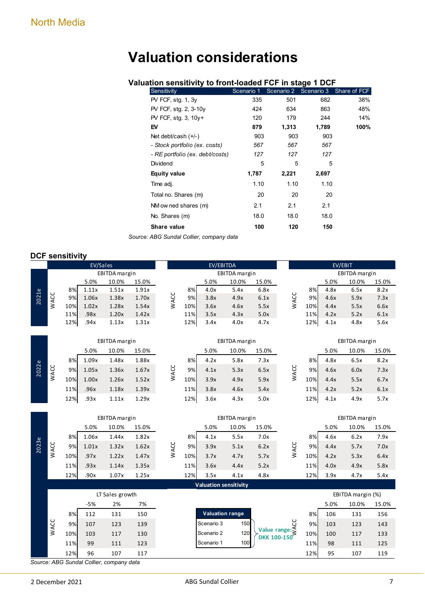# **Valuation considerations**

#### **Valuation sensitivity to front-loaded FCF in stage 1 DCF**

| Sensitivity                     | Scenario 1 | Scenario 2 |       | Scenario 3 Share of FCF |
|---------------------------------|------------|------------|-------|-------------------------|
| $PV$ FCF, stg. 1, 3y            | 335        | 501        | 682   | 38%                     |
| PV FCF, stg. 2, 3-10y           | 424        | 634        | 863   | 48%                     |
| PV FCF, stg. 3, 10y+            | 120        | 179        | 244   | 14%                     |
| EV                              | 879        | 1,313      | 1,789 | 100%                    |
| Net debt/cash $(+/-)$           | 903        | 903        | 903   |                         |
| - Stock portfolio (ex. costs)   | 567        | 567        | 567   |                         |
| - RE portfolio (ex. debt/costs) | 127        | 127        | 127   |                         |
| Dividend                        | 5          | 5          | 5     |                         |
| <b>Equity value</b>             | 1,787      | 2,221      | 2,697 |                         |
| Time adj.                       | 1.10       | 1.10       | 1.10  |                         |
| Total no. Shares (m)            | 20         | 20         | 20    |                         |
| NM ow ned shares (m)            | 2.1        | 2.1        | 2.1   |                         |
| No. Shares (m)                  | 18.0       | 18.0       | 18.0  |                         |
| Share value                     | 100        | 120        | 150   |                         |

*Source: ABG Sundal Collier, company data*

#### **DCF sensitivity**

|       |      |     | EV/Sales |                                                 |       |      |     | EV/EBITDA              |                              |                    |                                                                           |     | EV/EBIT |                   |       |
|-------|------|-----|----------|-------------------------------------------------|-------|------|-----|------------------------|------------------------------|--------------------|---------------------------------------------------------------------------|-----|---------|-------------------|-------|
|       |      |     |          | EBITDA margin                                   |       |      |     |                        | EBITDA margin                |                    |                                                                           |     |         | EBITDA margin     |       |
|       |      |     | 5.0%     | 10.0%                                           | 15.0% |      |     | 5.0%                   | 10.0%                        | 15.0%              |                                                                           |     | 5.0%    | 10.0%             | 15.0% |
|       |      | 8%  | 1.11x    | 1.51x                                           | 1.91x |      | 8%  | 4.0x                   | 5.4x                         | 6.8x               |                                                                           | 8%  | 4.8x    | 6.5x              | 8.2x  |
| 2021e | WACC | 9%  | 1.06x    | 1.38x                                           | 1.70x | WACC | 9%  | 3.8x                   | 4.9x                         | 6.1x               | WACC                                                                      | 9%  | 4.6x    | 5.9x              | 7.3x  |
|       |      | 10% | 1.02x    | 1.28x                                           | 1.54x |      | 10% | 3.6x                   | 4.6x                         | 5.5x               |                                                                           | 10% | 4.4x    | 5.5x              | 6.6x  |
|       |      | 11% | .98x     | 1.20x                                           | 1.42x |      | 11% | 3.5x                   | 4.3x                         | 5.0x               |                                                                           | 11% | 4.2x    | 5.2x              | 6.1x  |
|       |      | 12% | .94x     | 1.13x                                           | 1.31x |      | 12% | 3.4x                   | 4.0x                         | 4.7x               |                                                                           | 12% | 4.1x    | 4.8x              | 5.6x  |
|       |      |     |          | EBITDA margin                                   |       |      |     |                        | EBITDA margin                |                    |                                                                           |     |         | EBITDA margin     |       |
|       |      |     | 5.0%     | 10.0%                                           | 15.0% |      |     | 5.0%                   | 10.0%                        | 15.0%              |                                                                           |     | 5.0%    | 10.0%             | 15.0% |
|       |      | 8%  | 1.09x    | 1.48x                                           | 1.88x |      | 8%  | 4.2x                   | 5.8x                         | 7.3x               |                                                                           | 8%  | 4.8x    | 6.5x              | 8.2x  |
| 2022e | WACC | 9%  | 1.05x    | 1.36x                                           | 1.67x | WACC | 9%  | 4.1x                   | 5.3x                         | 6.5x               | WACC                                                                      | 9%  | 4.6x    | 6.0x              | 7.3x  |
|       |      | 10% | 1.00x    | 1.26x                                           | 1.52x |      | 10% | 3.9x                   | 4.9x                         | 5.9x               |                                                                           | 10% | 4.4x    | 5.5x              | 6.7x  |
|       |      | 11% | .96x     | 1.18x                                           | 1.39x |      | 11% | 3.8x                   | 4.6x                         | 5.4x               |                                                                           | 11% | 4.2x    | 5.2x              | 6.1x  |
|       |      | 12% | .93x     | 1.11x                                           | 1.29x |      | 12% | 3.6x                   | 4.3x                         | 5.0x               |                                                                           | 12% | 4.1x    | 4.9x              | 5.7x  |
|       |      |     |          |                                                 |       |      |     |                        |                              |                    |                                                                           |     |         |                   |       |
|       |      |     |          |                                                 |       |      |     |                        |                              |                    |                                                                           |     |         |                   |       |
|       |      |     |          | EBITDA margin                                   |       |      |     |                        | EBITDA margin                |                    |                                                                           |     |         | EBITDA margin     |       |
|       |      |     | 5.0%     | 10.0%                                           | 15.0% |      |     | 5.0%                   | 10.0%                        | 15.0%              |                                                                           |     | 5.0%    | 10.0%             | 15.0% |
|       |      | 8%  | 1.06x    | 1.44x                                           | 1.82x |      | 8%  | 4.1x                   | 5.5x                         | 7.0x               |                                                                           | 8%  | 4.6x    | 6.2x              | 7.9x  |
|       |      | 9%  | 1.01x    | 1.32x                                           | 1.62x |      | 9%  | 3.9x                   | 5.1x                         | 6.2x               |                                                                           | 9%  | 4.4x    | 5.7x              | 7.0x  |
| 2023e | WACC | 10% | .97x     | 1.22x                                           | 1.47x | WACC | 10% | 3.7x                   | 4.7x                         | 5.7x               | WACC                                                                      | 10% | 4.2x    | 5.3x              | 6.4x  |
|       |      | 11% | .93x     | 1.14x                                           | 1.35x |      | 11% | 3.6x                   | 4.4x                         | 5.2x               |                                                                           | 11% | 4.0x    | 4.9x              | 5.8x  |
|       |      | 12% | .90x     | 1.07x                                           | 1.25x |      | 12% | 3.5x                   | 4.1x                         | 4.8x               |                                                                           | 12% | 3.9x    | 4.7x              | 5.4x  |
|       |      |     |          |                                                 |       |      |     |                        | <b>Valuation sensitivity</b> |                    |                                                                           |     |         |                   |       |
|       |      |     |          | LT Sales growth                                 |       |      |     |                        |                              |                    |                                                                           |     |         | EBITDA margin (%) |       |
|       |      |     | $-5%$    | 2%                                              | 7%    |      |     |                        |                              |                    |                                                                           |     | 5.0%    | 10.0%             | 15.0% |
|       |      | 8%  | 112      | 131                                             | 150   |      |     | <b>Valuation range</b> |                              |                    |                                                                           | 8%  | 106     | 131               | 156   |
|       |      | 9%  | 107      | 123                                             | 139   |      |     | Scenario 3             | 150                          |                    |                                                                           | 9%  | 103     | 123               | 143   |
|       | WACC | 10% | 103      | 117                                             | 130   |      |     | Scenario 2             | 120                          |                    | $\bigcup_{\substack{S \cup \\ \mathsf{Value} \text{ range}: \mathsf{S}}}$ | 10% | 100     | 117               | 133   |
|       |      | 11% | 99       | 111                                             | 123   |      |     | Scenario 1             | 100                          | <b>DKK 100-150</b> |                                                                           | 11% | 98      | 111               | 125   |
|       |      | 12% | 96       | 107<br>Source: ABG Sundal Collier, company data | 117   |      |     |                        |                              |                    |                                                                           | 12% | 95      | 107               | 119   |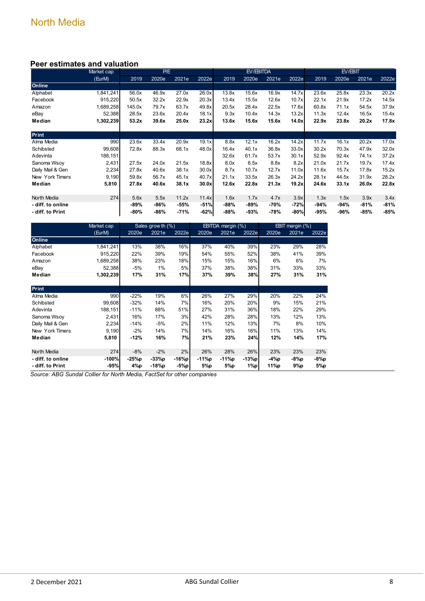#### **Peer estimates and valuation**

|                   | Market cap |        | P/E   |        |        |        | EV/EBITDA |       |        |       | EV/EBIT |        |        |
|-------------------|------------|--------|-------|--------|--------|--------|-----------|-------|--------|-------|---------|--------|--------|
|                   | (EurM)     | 2019   | 2020e | 2021e  | 2022e  | 2019   | 2020e     | 2021e | 2022e  | 2019  | 2020e   | 2021e  | 2022e  |
| Online            |            |        |       |        |        |        |           |       |        |       |         |        |        |
| Alphabet          | 1,841,241  | 56.0x  | 46.9x | 27.0x  | 26.0x  | 13.8x  | 15.6x     | 16.9x | 14.7x  | 23.6x | 25.8x   | 23.3x  | 20.2x  |
| Facebook          | 915,220    | 50.5x  | 32.2x | 22.9x  | 20.3x  | 13.4x  | 15.5x     | 12.6x | 10.7x  | 22.1x | 21.9x   | 17.2x  | 14.5x  |
| Amazon            | 1,689,258  | 145.0x | 79.7x | 63.7x  | 49.8x  | 20.5x  | 28.4x     | 22.5x | 17.6x  | 60.8x | 71.1x   | 54.5x  | 37.9x  |
| eBay              | 52,388     | 28.5x  | 23.6x | 20.4x  | 18.1x  | 9.3x   | 10.4x     | 14.3x | 13.2x  | 11.3x | 12.4x   | 16.5x  | 15.4x  |
| Median            | 1,302,239  | 53.2x  | 39.6x | 25.0x  | 23.2x  | 13.6x  | 15.6x     | 15.6x | 14.0x  | 22.9x | 23.8x   | 20.2x  | 17.8x  |
| <b>Print</b>      |            |        |       |        |        |        |           |       |        |       |         |        |        |
| Alma Media        | 990        | 23.6x  | 33.4x | 20.9x  | 19.1x  | 8.8x   | 12.1x     | 16.2x | 14.2x  | 11.7x | 16.1x   | 20.2x  | 17.0x  |
| Schibsted         | 99,608     | 72.8x  | 88.3x | 68.1x  | 48.0x  | 16.4x  | 40.1x     | 36.8x | 33.0x  | 30.2x | 70.3x   | 47.9x  | 32.0x  |
|                   |            |        |       |        |        |        |           |       |        |       |         |        |        |
| Adevinta          | 188,151    |        |       |        |        | 32.6x  | 61.7x     | 53.7x | 30.1x  | 52.9x | 92.4x   | 74.1x  | 37.2x  |
| Sanoma Wsoy       | 2,431      | 27.5x  | 24.0x | 21.5x  | 18.8x  | 8.0x   | 6.5x      | 8.8x  | 8.2x   | 21.0x | 21.7x   | 19.7x  | 17.4x  |
| Daily Mail & Gen  | 2,234      | 27.8x  | 40.6x | 38.1x  | 30.0x  | 8.7x   | 10.7x     | 12.7x | 11.0x  | 11.6x | 15.7x   | 17.8x  | 15.2x  |
| New York Timers   | 9,190      | 59.8x  | 56.7x | 45.1x  | 40.7x  | 21.1x  | 33.5x     | 26.3x | 24.2x  | 28.1x | 44.5x   | 31.9x  | 28.2x  |
| Median            | 5,810      | 27.8x  | 40.6x | 38.1x  | 30.0x  | 12.6x  | 22.8x     | 21.3x | 19.2x  | 24.6x | 33.1x   | 26.0x  | 22.8x  |
| North Media       | 274        | 5.6x   | 5.5x  | 11.2x  | 11.4x  | 1.6x   | 1.7x      | 4.7x  | 3.9x   | 1.3x  | 1.5x    | 3.9x   | 3.4x   |
| - diff. to online |            | -89%   | -86%  | $-55%$ | $-51%$ | -88%   | -89%      | -70%  | $-72%$ | -94%  | -94%    | $-81%$ | $-81%$ |
| - diff. to Print  |            | -80%   | -86%  | $-71%$ | $-62%$ | $-88%$ | $-93%$    | -78%  | $-80%$ | -95%  | -96%    | $-85%$ | -85%   |

|                    | Market cap |        | Sales grow th (%) |         |       | EBITDA margin (%) |         |       | EBIT margin (%) |       |
|--------------------|------------|--------|-------------------|---------|-------|-------------------|---------|-------|-----------------|-------|
|                    | (EurM)     | 2020e  | 2021e             | 2022e   | 2020e | 2021e             | 2022e   | 2020e | 2021e           | 2022e |
| Online             |            |        |                   |         |       |                   |         |       |                 |       |
| Alphabet           | 1,841,241  | 13%    | 38%               | 16%     | 37%   | 40%               | 39%     | 23%   | 29%             | 28%   |
| Facebook           | 915,220    | 22%    | 39%               | 19%     | 54%   | 55%               | 52%     | 38%   | 41%             | 39%   |
| Amazon             | 1,689,258  | 38%    | 23%               | 18%     | 15%   | 15%               | 16%     | 6%    | 6%              | 7%    |
| eBay               | 52,388     | -5%    | 1%                | 5%      | 37%   | 38%               | 38%     | 31%   | 33%             | 33%   |
| Median             | 1,302,239  | 17%    | 31%               | 17%     | 37%   | 39%               | 38%     | 27%   | 31%             | 31%   |
|                    |            |        |                   |         |       |                   |         |       |                 |       |
| <b>Print</b>       |            |        |                   |         |       |                   |         |       |                 |       |
| Alma Media         | 990        | $-22%$ | 19%               | 6%      | 26%   | 27%               | 29%     | 20%   | 22%             | 24%   |
| Schibsted          | 99.608     | $-32%$ | 14%               | 7%      | 16%   | 20%               | 20%     | 9%    | 15%             | 21%   |
| Adevinta           | 188,151    | $-11%$ | 88%               | 51%     | 27%   | 31%               | 36%     | 18%   | 22%             | 29%   |
| Sanoma Wsoy        | 2,431      | 16%    | 17%               | 3%      | 42%   | 28%               | 28%     | 13%   | 12%             | 13%   |
| Daily Mail & Gen   | 2,234      | $-14%$ | -5%               | 2%      | 11%   | 12%               | 13%     | 7%    | 8%              | 10%   |
| New York Timers    | 9,190      | $-2%$  | 14%               | 7%      | 14%   | 16%               | 16%     | 11%   | 13%             | 14%   |
| Median             | 5,810      | $-12%$ | 16%               | 7%      | 21%   | 23%               | 24%     | 12%   | 14%             | 17%   |
|                    |            |        |                   |         |       |                   |         |       |                 |       |
| <b>North Media</b> | 274        | $-8%$  | $-2%$             | 2%      | 26%   | 28%               | 26%     | 23%   | 23%             | 23%   |
| - diff. to online  | $-100%$    | -25%p  | $-33%p$           | $-16%p$ | -11%p | $-11\%p$          | $-13%p$ | -4%p  | -8%p            | -8%p  |
| - diff. to Print   | $-95%$     | 4%р    | -18%p             | $-5%p$  | 5%p   | 5%p               | 1%p     | 11%p  | 9%p             | 5%p   |

*Source: ABG Sundal Collier for North Media, FactSet for other companies*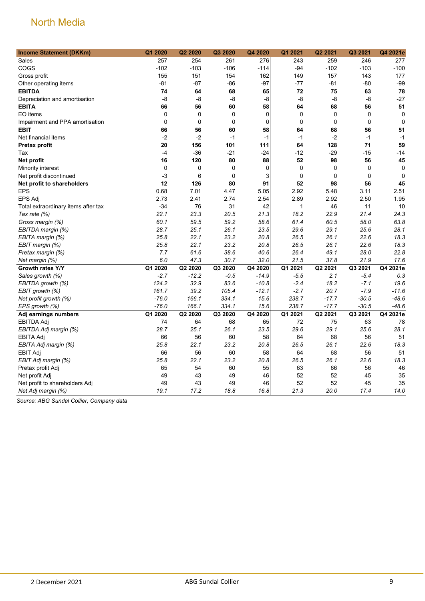| <b>Income Statement (DKKm)</b>      | Q1 2020     | Q2 2020     | Q3 2020     | Q4 2020         | Q1 2021 | Q2 2021     | Q3 2021     | Q4 2021e        |
|-------------------------------------|-------------|-------------|-------------|-----------------|---------|-------------|-------------|-----------------|
| Sales                               | 257         | 254         | 261         | 276             | 243     | 259         | 246         | 277             |
| COGS                                | $-102$      | $-103$      | $-106$      | $-114$          | $-94$   | $-102$      | $-103$      | $-100$          |
| Gross profit                        | 155         | 151         | 154         | 162             | 149     | 157         | 143         | 177             |
| Other operating items               | $-81$       | $-87$       | -86         | $-97$           | $-77$   | $-81$       | $-80$       | $-99$           |
| <b>EBITDA</b>                       | 74          | 64          | 68          | 65              | 72      | 75          | 63          | 78              |
| Depreciation and amortisation       | -8          | -8          | -8          | -8              | -8      | -8          | -8          | $-27$           |
| <b>EBITA</b>                        | 66          | 56          | 60          | 58              | 64      | 68          | 56          | 51              |
| EO items                            | $\mathbf 0$ | $\mathbf 0$ | $\mathbf 0$ | $\mathbf 0$     | 0       | $\mathbf 0$ | $\mathbf 0$ | $\mathbf 0$     |
| Impairment and PPA amortisation     | 0           | 0           | $\pmb{0}$   | $\mathbf 0$     | 0       | $\mathbf 0$ | $\mathbf 0$ | $\mathbf 0$     |
| <b>EBIT</b>                         | 66          | 56          | 60          | 58              | 64      | 68          | 56          | 51              |
| Net financial items                 | $-2$        | $-2$        | $-1$        | $-1$            | $-1$    | $-2$        | $-1$        | $-1$            |
| <b>Pretax profit</b>                | 20          | 156         | 101         | 111             | 64      | 128         | 71          | 59              |
| Tax                                 | $-4$        | $-36$       | $-21$       | $-24$           | $-12$   | $-29$       | $-15$       | $-14$           |
| Net profit                          | 16          | 120         | 80          | 88              | 52      | 98          | 56          | 45              |
| Minority interest                   | 0           | 0           | $\mathbf 0$ | $\mathbf 0$     | 0       | $\mathbf 0$ | $\mathbf 0$ | $\mathbf 0$     |
| Net profit discontinued             | -3          | 6           | $\mathbf 0$ | 3               | 0       | 0           | $\mathbf 0$ | $\mathbf 0$     |
| Net profit to shareholders          | 12          | 126         | 80          | 91              | 52      | 98          | 56          | 45              |
| <b>EPS</b>                          | 0.68        | 7.01        | 4.47        | 5.05            | 2.92    | 5.48        | 3.11        | 2.51            |
| EPS Adj                             | 2.73        | 2.41        | 2.74        | 2.54            | 2.89    | 2.92        | 2.50        | 1.95            |
| Total extraordinary items after tax | $-34$       | 76          | 31          | $\overline{42}$ | 1       | 46          | 11          | $\overline{10}$ |
| Tax rate (%)                        | 22.1        | 23.3        | 20.5        | 21.3            | 18.2    | 22.9        | 21.4        | 24.3            |
| Gross margin (%)                    | 60.1        | 59.5        | 59.2        | 58.6            | 61.4    | 60.5        | 58.0        | 63.8            |
| EBITDA margin (%)                   | 28.7        | 25.1        | 26.1        | 23.5            | 29.6    | 29.1        | 25.6        | 28.1            |
| EBITA margin (%)                    | 25.8        | 22.1        | 23.2        | 20.8            | 26.5    | 26.1        | 22.6        | 18.3            |
| EBIT margin (%)                     | 25.8        | 22.1        | 23.2        | 20.8            | 26.5    | 26.1        | 22.6        | 18.3            |
| Pretax margin (%)                   | 7.7         | 61.6        | 38.6        | 40.6            | 26.4    | 49.1        | 28.0        | 22.8            |
| Net margin (%)                      | 6.0         | 47.3        | 30.7        | 32.0            | 21.5    | 37.8        | 21.9        | 17.6            |
| Growth rates Y/Y                    | Q1 2020     | Q2 2020     | Q3 2020     | Q4 2020         | Q1 2021 | Q2 2021     | Q3 2021     | Q4 2021e        |
| Sales growth (%)                    | $-2.7$      | $-12.2$     | $-0.5$      | $-14.9$         | $-5.5$  | 2.1         | $-5.4$      | 0.3             |
| EBITDA growth (%)                   | 124.2       | 32.9        | 83.6        | $-10.8$         | $-2.4$  | 18.2        | $-7.1$      | 19.6            |
| EBIT growth (%)                     | 161.7       | 39.2        | 105.4       | $-12.1$         | $-2.7$  | 20.7        | $-7.9$      | $-11.6$         |
| Net profit growth (%)               | $-76.0$     | 166.1       | 334.1       | 15.6            | 238.7   | $-17.7$     | $-30.5$     | $-48.6$         |
| EPS growth (%)                      | $-76.0$     | 166.1       | 334.1       | 15.6            | 238.7   | $-17.7$     | $-30.5$     | $-48.6$         |
| Adj earnings numbers                | Q1 2020     | Q2 2020     | Q3 2020     | Q4 2020         | Q1 2021 | Q2 2021     | Q3 2021     | Q4 2021e        |
| <b>EBITDA Adj</b>                   | 74          | 64          | 68          | 65              | 72      | 75          | 63          | 78              |
| EBITDA Adj margin (%)               | 28.7        | 25.1        | 26.1        | 23.5            | 29.6    | 29.1        | 25.6        | 28.1            |
| <b>EBITA Adj</b>                    | 66          | 56          | 60          | 58              | 64      | 68          | 56          | 51              |
| EBITA Adj margin (%)                | 25.8        | 22.1        | 23.2        | 20.8            | 26.5    | 26.1        | 22.6        | 18.3            |
| <b>EBIT Adj</b>                     | 66          | 56          | 60          | 58              | 64      | 68          | 56          | 51              |
| EBIT Adj margin (%)                 | 25.8        | 22.1        | 23.2        | 20.8            | 26.5    | 26.1        | 22.6        | 18.3            |
| Pretax profit Adj                   | 65          | 54          | 60          | 55              | 63      | 66          | 56          | 46              |
| Net profit Adj                      | 49          | 43          | 49          | 46              | 52      | 52          | 45          | 35              |
| Net profit to shareholders Adj      | 49          | 43          | 49          | 46              | 52      | 52          | 45          | 35              |
| Net Adj margin (%)                  | 19.1        | 17.2        | 18.8        | 16.8            | 21.3    | 20.0        | 17.4        | 14.0            |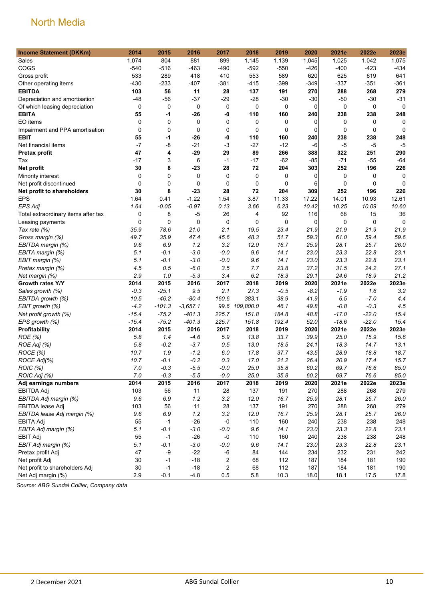| <b>Income Statement (DKKm)</b>      | 2014        | 2015     | 2016        | 2017    | 2018           | 2019   | 2020           | 2021e       | 2022e       | 2023e       |
|-------------------------------------|-------------|----------|-------------|---------|----------------|--------|----------------|-------------|-------------|-------------|
| Sales                               | 1,074       | 804      | 881         | 899     | 1,145          | 1,139  | 1,045          | 1,025       | 1,042       | 1,075       |
| COGS                                | $-540$      | $-516$   | $-463$      | -490    | $-592$         | $-550$ | $-426$         | $-400$      | $-423$      | $-434$      |
| Gross profit                        | 533         | 289      | 418         | 410     | 553            | 589    | 620            | 625         | 619         | 641         |
| Other operating items               | $-430$      | $-233$   | $-407$      | $-381$  | $-415$         | $-399$ | $-349$         | $-337$      | $-351$      | $-361$      |
| <b>EBITDA</b>                       | 103         | 56       | 11          | 28      | 137            | 191    | 270            | 288         | 268         | 279         |
| Depreciation and amortisation       | $-48$       | $-56$    | $-37$       | $-29$   | $-28$          | $-30$  | $-30$          | $-50$       | $-30$       | $-31$       |
| Of which leasing depreciation       | 0           | 0        | 0           | 0       | 0              | 0      | $\overline{0}$ | 0           | 0           | $\mathbf 0$ |
| <b>EBITA</b>                        | 55          | -1       | $-26$       | -0      | 110            | 160    | 240            | 238         | 238         | 248         |
| EO items                            | $\mathbf 0$ | 0        | 0           | 0       | 0              | 0      | 0              | 0           | 0           | 0           |
| Impairment and PPA amortisation     | $\mathbf 0$ | 0        | $\mathbf 0$ | 0       | 0              | 0      | 0              | $\mathbf 0$ | $\mathbf 0$ | $\mathbf 0$ |
| <b>EBIT</b>                         | 55          | $-1$     | $-26$       | -0      | 110            | 160    | 240            | 238         | 238         | 248         |
| Net financial items                 | $-7$        | -8       | $-21$       | $-3$    | $-27$          | $-12$  | $-6$           | $-5$        | $-5$        | $-5$        |
| Pretax profit                       | 47          | 4        | -29         | 29      | 89             | 266    | 388            | 322         | 251         | 290         |
| Tax                                 | $-17$       | 3        | 6           | $-1$    | -17            | $-62$  | -85            | $-71$       | $-55$       | $-64$       |
| Net profit                          | 30          | 8        | $-23$       | 28      | 72             | 204    | 303            | 252         | 196         | 226         |
| Minority interest                   | 0           | 0        | 0           | 0       | 0              | 0      | 0              | 0           | 0           | 0           |
| Net profit discontinued             | $\mathbf 0$ | 0        | 0           | 0       | 0              | 0      | 6              | 0           | 0           | $\Omega$    |
| Net profit to shareholders          | 30          | 8        | $-23$       | 28      | 72             | 204    | 309            | 252         | 196         | 226         |
| <b>EPS</b>                          | 1.64        | 0.41     | $-1.22$     | 1.54    | 3.87           | 11.33  | 17.22          | 14.01       | 10.93       | 12.61       |
| <b>EPS Adj</b>                      | 1.64        | $-0.05$  | $-0.97$     | 0.13    | 3.66           | 6.23   | 10.42          | 10.25       | 10.09       | 10.60       |
| Total extraordinary items after tax | $\mathbf 0$ | 8        | $-5$        | 26      | 4              | 92     | 116            | 68          | 15          | 36          |
| Leasing payments                    | 0           | 0        | 0           | 0       | 0              | 0      | 0              | 0           | 0           | $\Omega$    |
| Tax rate (%)                        | 35.9        | 78.6     | 21.0        | 2.1     | 19.5           | 23.4   | 21.9           | 21.9        | 21.9        | 21.9        |
| Gross margin (%)                    | 49.7        | 35.9     | 47.4        | 45.6    | 48.3           | 51.7   | 59.3           | 61.0        | 59.4        | 59.6        |
| EBITDA margin (%)                   | 9.6         | 6.9      | 1.2         | 3.2     | 12.0           | 16.7   | 25.9           | 28.1        | 25.7        | 26.0        |
| EBITA margin (%)                    | 5.1         | -0.1     | $-3.0$      | $-0.0$  | 9.6            | 14.1   | 23.0           | 23.3        | 22.8        | 23.1        |
| EBIT margin (%)                     | 5.1         | $-0.1$   | $-3.0$      | $-0.0$  | 9.6            | 14.1   | 23.0           | 23.3        | 22.8        | 23.1        |
| Pretax margin (%)                   | 4.5         | 0.5      | $-6.0$      | 3.5     | 7.7            | 23.8   | 37.2           | 31.5        | 24.2        | 27.1        |
| Net margin (%)                      | 2.9         | 1.0      | $-5.3$      | 3.4     | 6.2            | 18.3   | 29.1           | 24.6        | 18.9        | 21.2        |
| Growth rates Y/Y                    | 2014        | 2015     | 2016        | 2017    | 2018           | 2019   | 2020           | 2021e       | 2022e       | 2023e       |
| Sales growth (%)                    | $-0.3$      | $-25.1$  | 9.5         | 2.1     | 27.3           | $-0.5$ | -8.2           | $-1.9$      | 1.6         | 3.2         |
| EBITDA growth (%)                   | 10.5        | $-46.2$  | $-80.4$     | 160.6   | 383.1          | 38.9   | 41.9           | 6.5         | $-7.0$      | 4.4         |
| EBIT growth (%)                     | $-4.2$      | $-101.3$ | $-3,657.1$  |         | 99.6 109,800.0 | 46.1   | 49.8           | $-0.8$      | $-0.3$      | 4.5         |
| Net profit growth (%)               | $-15.4$     | $-75.2$  | $-401.3$    | 225.7   | 151.8          | 184.8  | 48.8           | $-17.0$     | $-22.0$     | 15.4        |
| EPS growth (%)                      | $-15.4$     | $-75.2$  | $-401.3$    | 225.7   | 151.8          | 192.4  | 52.0           | $-18.6$     | $-22.0$     | 15.4        |
| Profitability                       | 2014        | 2015     | 2016        | 2017    | 2018           | 2019   | 2020           | 2021e       | 2022e       | 2023e       |
| ROE (%)                             | 5.8         | 1.4      | $-4.6$      | 5.9     | 13.8           | 33.7   | 39.9           | 25.0        | 15.9        | 15.6        |
| ROE Adj (%)                         | 5.8         | $-0.2$   | $-3.7$      | 0.5     | 13.0           | 18.5   | 24.1           | 18.3        | 14.7        | 13.1        |
| ROCE (%)                            | 10.7        | 1.9      | $-1.2$      | 6.0     | 17.8           | 37.7   | 43.5           | 28.9        | 18.8        | 18.7        |
| ROCE Adj(%)                         | 10.7        | -0.1     | $-0.2$      | 0.3     | 17.0           | 21.2   | 26.4           | 20.9        | 17.4        | 15.7        |
| ROIC (%)                            | $7.0\,$     | $-0.3$   | $-5.5$      | $-0.0$  | 25.0           | 35.8   | 60.2           | 69.7        | 76.6        | 85.0        |
| ROIC Adj (%)                        | 7.0         | $-0.3$   | $-5.5$      | $-0.0$  | 25.0           | 35.8   | 60.2           | 69.7        | 76.6        | 85.0        |
| Adj earnings numbers                | 2014        | 2015     | 2016        | 2017    | 2018           | 2019   | 2020           | 2021e       | 2022e       | 2023e       |
| <b>EBITDA Adj</b>                   | 103         | 56       | 11          | 28      | 137            | 191    | 270            | 288         | 268         | 279         |
| EBITDA Adj margin (%)               | 9.6         | 6.9      | 1.2         | 3.2     | 12.0           | 16.7   | 25.9           | 28.1        | 25.7        | 26.0        |
| EBITDA lease Adj                    | 103         | 56       | 11          | 28      | 137            | 191    | 270            | 288         | 268         | 279         |
| EBITDA lease Adj margin (%)         | 9.6         | 6.9      | 1.2         | 3.2     | 12.0           | 16.7   | 25.9           | 28.1        | 25.7        | 26.0        |
| <b>EBITA Adj</b>                    | 55          | $-1$     | $-26$       | $-0$    | 110            | 160    | 240            | 238         | 238         | 248         |
| EBITA Adj margin (%)                | 5.1         | $-0.1$   | $-3.0$      | $-0.0$  | 9.6            | 14.1   | 23.0           | 23.3        | 22.8        | 23.1        |
| <b>EBIT Adj</b>                     | 55          | $-1$     | $-26$       | -0      | 110            | 160    | 240            | 238         | 238         | 248         |
| EBIT Adj margin (%)                 | 5.1         | $-0.1$   | $-3.0$      | $-0.0$  | 9.6            | 14.1   | 23.0           | 23.3        | 22.8        | 23.1        |
| Pretax profit Adj                   | 47          | -9       | $-22$       | $-6\,$  | 84             | 144    | 234            | 232         | 231         | 242         |
| Net profit Adj                      | 30          | $-1$     | $-18$       | 2       | 68             | 112    | 187            | 184         | 181         | 190         |
| Net profit to shareholders Adj      | 30          | $-1$     | $-18$       | 2       | 68             | 112    | 187            | 184         | 181         | 190         |
| Net Adj margin (%)                  | 2.9         | $-0.1$   | $-4.8$      | $0.5\,$ | 5.8            | 10.3   | 18.0           | 18.1        | 17.5        | 17.8        |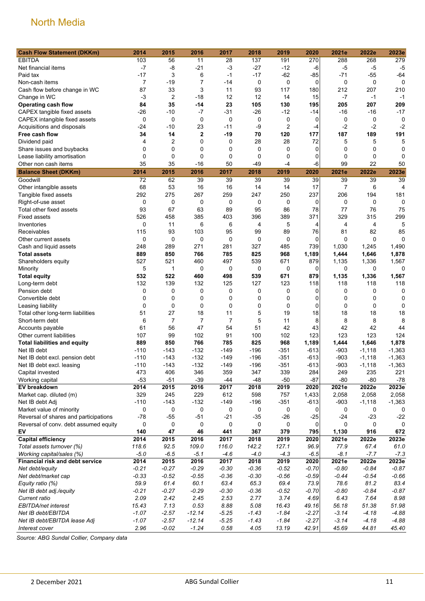| <b>Cash Flow Statement (DKKm)</b>               | 2014              | 2015              | 2016                 | 2017           | 2018        | 2019        | 2020        | 2021e   | 2022e             | 2023e       |
|-------------------------------------------------|-------------------|-------------------|----------------------|----------------|-------------|-------------|-------------|---------|-------------------|-------------|
| <b>EBITDA</b>                                   | 103               | 56                | 11                   | 28             | 137         | 191         | 270         | 288     | 268               | 279         |
| Net financial items                             | $-7$              | $-8$              | $-21$                | $-3$           | $-27$       | $-12$       | $-6$        | -5      | $-5$              | $-5$        |
| Paid tax                                        | $-17$             | 3                 | 6                    | $-1$           | $-17$       | $-62$       | $-85$       | $-71$   | $-55$             | $-64$       |
| Non-cash items                                  | 7                 | $-19$             | 7                    | -14            | 0           | 0           | $\mathbf 0$ | 0       | 0                 | 0           |
| Cash flow before change in WC                   | 87                | 33                | 3                    | 11             | 93          | 117         | 180         | 212     | 207               | 210         |
| Change in WC                                    | $-3$              | $\overline{2}$    | $-18$                | 12             | 12          | 14          | 15          | $-7$    | $-1$              | $-1$        |
| <b>Operating cash flow</b>                      | 84                | 35                | -14                  | 23             | 105         | 130         | 195         | 205     | 207               | 209         |
| CAPEX tangible fixed assets                     | $-26$             | $-10$             | $-7$                 | $-31$          | $-26$       | $-12$       | -14         | -16     | -16               | $-17$       |
| CAPEX intangible fixed assets                   | 0                 | $\mathbf 0$       | $\mathbf 0$          | $\mathbf 0$    | 0           | 0           | 0           | 0       | 0                 | 0           |
| Acquisitions and disposals                      | -24               | $-10$             | 23                   | -11            | -9          | 2           | $-4$        | $-2$    | $-2$              | $-2$        |
| Free cash flow                                  | 34                | 14                | $\overline{2}$       | $-19$          | 70          | 120         | 177         | 187     | 189               | 191         |
| Dividend paid                                   | 4                 | $\overline{2}$    | 0                    | 0              | 28          | 28          | 72          | 5       | 5                 | 5           |
| Share issues and buybacks                       | 0                 | $\mathbf 0$       | $\mathbf 0$          | 0              | 0           | $\mathbf 0$ | 0           | 0       | 0                 | 0           |
| Lease liability amortisation                    | $\mathbf 0$<br>35 | $\mathbf 0$<br>35 | $\mathbf 0$<br>$-16$ | 0<br>50        | $\mathbf 0$ | 0           | 0           | 0<br>99 | $\mathbf 0$<br>22 | 0           |
| Other non cash items                            |                   |                   |                      |                | -49         | $-4$        | -6          |         |                   | 50          |
| <b>Balance Sheet (DKKm)</b>                     | 2014              | 2015              | 2016                 | 2017           | 2018        | 2019        | 2020        | 2021e   | 2022e             | 2023e       |
| Goodwill                                        | 72                | 62                | 39                   | 39             | 39          | 39          | 39          | 39      | 39                | 39          |
| Other intangible assets                         | 68                | 53                | 16                   | 16             | 14          | 14          | 17          | 7       | 6                 | 4           |
| Tangible fixed assets                           | 292               | 275               | 267                  | 259            | 247         | 250         | 237         | 206     | 194               | 181         |
| Right-of-use asset                              | 0<br>93           | 0<br>67           | 0<br>63              | 0<br>89        | 0           | 0<br>86     | 0<br>78     | 0<br>77 | 0<br>76           | 0<br>75     |
| Total other fixed assets<br><b>Fixed assets</b> | 526               | 458               | 385                  | 403            | 95<br>396   | 389         | 371         | 329     | 315               | 299         |
| Inventories                                     | $\mathbf 0$       | 11                | 6                    | 6              | 4           | 5           | 4           | 4       | 4                 | 5           |
| Receivables                                     | 115               | 93                | 103                  | 95             | 99          | 89          | 76          | 81      | 82                | 85          |
| Other current assets                            | 0                 | 0                 | $\mathbf 0$          | 0              | 0           | 0           | 0           | 0       | $\mathbf 0$       | 0           |
| Cash and liquid assets                          | 248               | 289               | 271                  | 281            | 327         | 485         | 739         | 1,030   | 1,245             | 1,490       |
| <b>Total assets</b>                             | 889               | 850               | 766                  | 785            | 825         | 968         | 1,189       | 1,444   | 1,646             | 1,878       |
| Shareholders equity                             | 527               | 521               | 460                  | 497            | 539         | 671         | 879         | 1,135   | 1,336             | 1,567       |
| Minority                                        | 5                 | $\mathbf{1}$      | 0                    | 0              | 0           | 0           | 0           | 0       | 0                 | $\mathbf 0$ |
| <b>Total equity</b>                             | 532               | 522               | 460                  | 498            | 539         | 671         | 879         | 1,135   | 1,336             | 1,567       |
| Long-term debt                                  | 132               | 139               | 132                  | 125            | 127         | 123         | 118         | 118     | 118               | 118         |
| Pension debt                                    | 0                 | 0                 | 0                    | 0              | 0           | 0           | 0           | 0       | 0                 | 0           |
| Convertible debt                                | 0                 | 0                 | 0                    | 0              | 0           | 0           | 0           | 0       | 0                 | 0           |
| Leasing liability                               | $\mathbf 0$       | $\mathbf 0$       | $\mathbf 0$          | 0              | 0           | $\mathbf 0$ | $\mathbf 0$ | 0       | 0                 | 0           |
| Total other long-term liabilities               | 51                | 27                | 18                   | 11             | 5           | 19          | 18          | 18      | 18                | 18          |
| Short-term debt                                 | 6                 | $\overline{7}$    | $\overline{7}$       | $\overline{7}$ | 5           | 11          | 8           | 8       | 8                 | 8           |
| Accounts payable                                | 61                | 56                | 47                   | 54             | 51          | 42          | 43          | 42      | 42                | 44          |
| Other current liabilities                       | 107               | 99                | 102                  | 91             | 100         | 102         | 123         | 123     | 123               | 124         |
| <b>Total liabilities and equity</b>             | 889               | 850               | 766                  | 785            | 825         | 968         | 1,189       | 1,444   | 1,646             | 1,878       |
| Net IB debt                                     | $-110$            | $-143$            | $-132$               | $-149$         | $-196$      | $-351$      | $-613$      | $-903$  | $-1,118$          | $-1,363$    |
| Net IB debt excl. pension debt                  | $-110$            | $-143$            | $-132$               | $-149$         | $-196$      | $-351$      | $-613$      | $-903$  | $-1,118$          | $-1,363$    |
| Net IB debt excl. leasing                       | $-110$            | $-143$            | $-132$               | $-149$         | $-196$      | $-351$      | $-613$      | -903    | $-1,118$          | $-1,363$    |
| Capital invested                                | 473               | 406               | 346                  | 359            | 347         | 339         | 284         | 249     | 235               | 221         |
| Working capital                                 | $-53$             | $-51$             | $-39$                | $-44$          | $-48$       | $-50$       | $-87$       | $-80$   | $-80$             | $-78$       |
| EV breakdown                                    | 2014              | 2015              | 2016                 | 2017           | 2018        | 2019        | 2020        | 2021e   | 2022e             | 2023e       |
| Market cap. diluted (m)                         | 329               | 245               | 229                  | 612            | 598         | 757         | 1,433       | 2,058   | 2,058             | 2,058       |
| Net IB debt Adj                                 | $-110$            | $-143$            | $-132$               | $-149$         | $-196$      | $-351$      | $-613$      | $-903$  | $-1,118$          | $-1,363$    |
| Market value of minority                        | 0                 | 0                 | 0                    | 0              | 0           | 0           | 0           | 0       | 0                 | 0           |
| Reversal of shares and participations           | $-78$             | $-55$             | $-51$                | $-21$          | $-35$       | $-26$       | $-25$       | $-24$   | $-23$             | $-22$       |
| Reversal of conv. debt assumed equity           | 0                 | 0                 | 0                    | 0              | 0           | 0           | 0           | 0       | 0                 | 0           |
| EV                                              | 140               | 47                | 46                   | 441            | 367         | 379         | 795         | 1,130   | 916               | 672         |
| <b>Capital efficiency</b>                       | 2014              | 2015              | 2016                 | 2017           | 2018        | 2019        | 2020        | 2021e   | 2022e             | 2023e       |
| Total assets turnover (%)                       | 118.6             | 92.5              | 109.0                | 116.0          | 142.2       | 127.1       | 96.9        | 77.9    | 67.4              | 61.0        |
| Working capital/sales (%)                       | $-5.0$            | $-6.5$            | $-5.1$               | $-4.6$         | $-4.0$      | $-4.3$      | $-6.5$      | $-8.1$  | $-7.7$            | $-7.3$      |
| <b>Financial risk and debt service</b>          | 2014              | 2015              | 2016                 | 2017           | 2018        | 2019        | 2020        | 2021e   | 2022e             | 2023e       |
| Net debt/equity                                 | $-0.21$           | $-0.27$           | $-0.29$              | $-0.30$        | $-0.36$     | $-0.52$     | $-0.70$     | $-0.80$ | $-0.84$           | $-0.87$     |
| Net debt/market cap                             | $-0.33$           | $-0.52$           | $-0.55$              | $-0.36$        | $-0.30$     | $-0.56$     | $-0.59$     | $-0.44$ | $-0.54$           | $-0.66$     |
| Equity ratio (%)                                | 59.9              | 61.4              | 60.1                 | 63.4           | 65.3        | 69.4        | 73.9        | 78.6    | 81.2              | 83.4        |
| Net IB debt adj./equity                         | $-0.21$           | $-0.27$           | $-0.29$              | $-0.30$        | $-0.36$     | $-0.52$     | $-0.70$     | $-0.80$ | $-0.84$           | $-0.87$     |
| Current ratio                                   | 2.09              | 2.42              | 2.45                 | 2.53           | 2.77        | 3.74        | 4.69        | 6.43    | 7.64              | 8.98        |
| EBITDA/net interest                             | 15.43             | 7.13              | 0.53                 | 8.88           | 5.08        | 16.43       | 49.16       | 56.18   | 51.38             | 51.98       |
| Net IB debt/EBITDA                              | $-1.07$           | $-2.57$           | $-12.14$             | $-5.25$        | $-1.43$     | $-1.84$     | $-2.27$     | $-3.14$ | $-4.18$           | $-4.88$     |
| Net IB debt/EBITDA lease Adj                    | $-1.07$           | $-2.57$           | $-12.14$             | $-5.25$        | $-1.43$     | $-1.84$     | $-2.27$     | $-3.14$ | $-4.18$           | $-4.88$     |
| Interest cover                                  | 2.96              | $-0.02$           | $-1.24$              | 0.58           | 4.05        | 13.19       | 42.91       | 45.69   | 44.81             | 45.40       |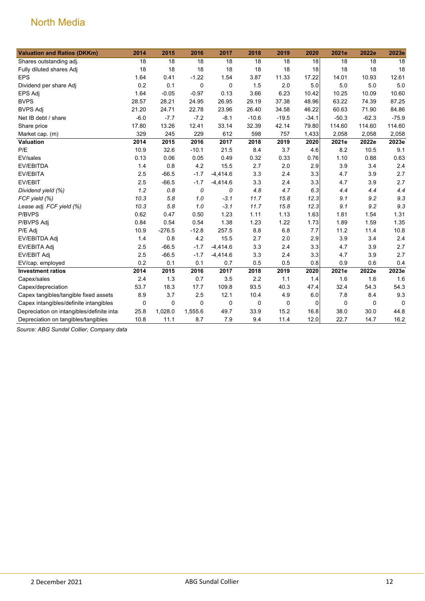| <b>Valuation and Ratios (DKKm)</b>         | 2014   | 2015        | 2016        | 2017        | 2018    | 2019    | 2020    | 2021e       | 2022e       | 2023e    |
|--------------------------------------------|--------|-------------|-------------|-------------|---------|---------|---------|-------------|-------------|----------|
| Shares outstanding adj.                    | 18     | 18          | 18          | 18          | 18      | 18      | 18      | 18          | 18          | 18       |
| Fully diluted shares Adj                   | 18     | 18          | 18          | 18          | 18      | 18      | 18      | 18          | 18          | 18       |
| <b>EPS</b>                                 | 1.64   | 0.41        | $-1.22$     | 1.54        | 3.87    | 11.33   | 17.22   | 14.01       | 10.93       | 12.61    |
| Dividend per share Adj                     | 0.2    | 0.1         | $\mathbf 0$ | $\mathbf 0$ | 1.5     | 2.0     | 5.0     | 5.0         | 5.0         | 5.0      |
| <b>EPS Adj</b>                             | 1.64   | $-0.05$     | $-0.97$     | 0.13        | 3.66    | 6.23    | 10.42   | 10.25       | 10.09       | 10.60    |
| <b>BVPS</b>                                | 28.57  | 28.21       | 24.95       | 26.95       | 29.19   | 37.38   | 48.96   | 63.22       | 74.39       | 87.25    |
| <b>BVPS Adj</b>                            | 21.20  | 24.71       | 22.78       | 23.96       | 26.40   | 34.58   | 46.22   | 60.63       | 71.90       | 84.86    |
| Net IB debt / share                        | $-6.0$ | $-7.7$      | $-7.2$      | $-8.1$      | $-10.6$ | $-19.5$ | $-34.1$ | $-50.3$     | $-62.3$     | $-75.9$  |
| Share price                                | 17.80  | 13.26       | 12.41       | 33.14       | 32.39   | 42.14   | 79.80   | 114.60      | 114.60      | 114.60   |
| Market cap. (m)                            | 329    | 245         | 229         | 612         | 598     | 757     | 1,433   | 2,058       | 2,058       | 2,058    |
| Valuation                                  | 2014   | 2015        | 2016        | 2017        | 2018    | 2019    | 2020    | 2021e       | 2022e       | 2023e    |
| P/E                                        | 10.9   | 32.6        | $-10.1$     | 21.5        | 8.4     | 3.7     | 4.6     | 8.2         | 10.5        | 9.1      |
| EV/sales                                   | 0.13   | 0.06        | 0.05        | 0.49        | 0.32    | 0.33    | 0.76    | 1.10        | 0.88        | 0.63     |
| EV/EBITDA                                  | 1.4    | 0.8         | 4.2         | 15.5        | 2.7     | 2.0     | 2.9     | 3.9         | 3.4         | 2.4      |
| EV/EBITA                                   | 2.5    | $-66.5$     | $-1.7$      | $-4,414.6$  | 3.3     | 2.4     | 3.3     | 4.7         | 3.9         | 2.7      |
| EV/EBIT                                    | 2.5    | $-66.5$     | $-1.7$      | $-4,414.6$  | 3.3     | 2.4     | 3.3     | 4.7         | 3.9         | 2.7      |
| Dividend yield (%)                         | 1.2    | 0.8         | 0           | 0           | 4.8     | 4.7     | 6.3     | 4.4         | 4.4         | 4.4      |
| FCF yield (%)                              | 10.3   | 5.8         | 1.0         | $-3.1$      | 11.7    | 15.8    | 12.3    | 9.1         | 9.2         | 9.3      |
| Lease adj. FCF yield (%)                   | 10.3   | 5.8         | 1.0         | $-3.1$      | 11.7    | 15.8    | 12.3    | 9.1         | 9.2         | 9.3      |
| P/BVPS                                     | 0.62   | 0.47        | 0.50        | 1.23        | 1.11    | 1.13    | 1.63    | 1.81        | 1.54        | 1.31     |
| P/BVPS Adj                                 | 0.84   | 0.54        | 0.54        | 1.38        | 1.23    | 1.22    | 1.73    | 1.89        | 1.59        | 1.35     |
| P/E Adj                                    | 10.9   | $-276.5$    | $-12.8$     | 257.5       | 8.8     | 6.8     | 7.7     | 11.2        | 11.4        | 10.8     |
| EV/EBITDA Adj                              | 1.4    | 0.8         | 4.2         | 15.5        | 2.7     | 2.0     | 2.9     | 3.9         | 3.4         | 2.4      |
| EV/EBITA Adj                               | 2.5    | $-66.5$     | $-1.7$      | $-4,414.6$  | 3.3     | 2.4     | 3.3     | 4.7         | 3.9         | 2.7      |
| EV/EBIT Adj                                | 2.5    | $-66.5$     | $-1.7$      | $-4,414.6$  | 3.3     | 2.4     | 3.3     | 4.7         | 3.9         | 2.7      |
| EV/cap. employed                           | 0.2    | 0.1         | 0.1         | 0.7         | 0.5     | 0.5     | 0.8     | 0.9         | 0.6         | 0.4      |
| <b>Investment ratios</b>                   | 2014   | 2015        | 2016        | 2017        | 2018    | 2019    | 2020    | 2021e       | 2022e       | 2023e    |
| Capex/sales                                | 2.4    | 1.3         | 0.7         | 3.5         | 2.2     | 1.1     | 1.4     | 1.6         | 1.6         | 1.6      |
| Capex/depreciation                         | 53.7   | 18.3        | 17.7        | 109.8       | 93.5    | 40.3    | 47.4    | 32.4        | 54.3        | 54.3     |
| Capex tangibles/tangible fixed assets      | 8.9    | 3.7         | 2.5         | 12.1        | 10.4    | 4.9     | 6.0     | 7.8         | 8.4         | 9.3      |
| Capex intangibles/definite intangibles     | 0      | $\mathbf 0$ | $\mathbf 0$ | $\mathbf 0$ | 0       | 0       | 0       | $\mathbf 0$ | $\mathbf 0$ | $\Omega$ |
| Depreciation on intangibles/definite intar | 25.8   | 1,028.0     | 1,555.6     | 49.7        | 33.9    | 15.2    | 16.8    | 38.0        | 30.0        | 44.8     |
| Depreciation on tangibles/tangibles        | 10.8   | 11.1        | 8.7         | 7.9         | 9.4     | 11.4    | 12.0    | 22.7        | 14.7        | 16.2     |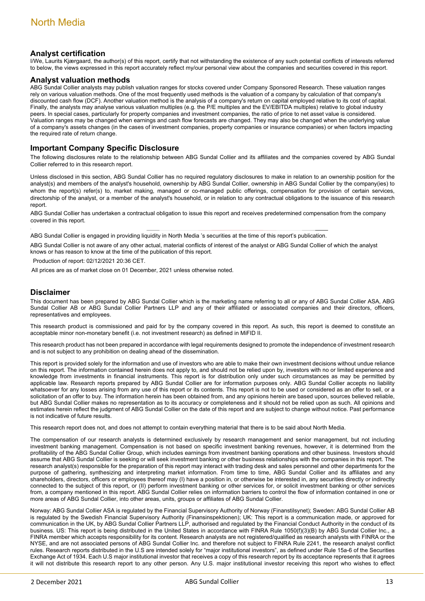#### **Analyst certification**

I/We, Laurits Kjærgaard, the author(s) of this report, certify that not withstanding the existence of any such potential conflicts of interests referred to below, the views expressed in this report accurately reflect my/our personal view about the companies and securities covered in this report.

#### **Analyst valuation methods**

ABG Sundal Collier analysts may publish valuation ranges for stocks covered under Company Sponsored Research. These valuation ranges rely on various valuation methods. One of the most frequently used methods is the valuation of a company by calculation of that company's discounted cash flow (DCF). Another valuation method is the analysis of a company's return on capital employed relative to its cost of capital. Finally, the analysts may analyse various valuation multiples (e.g. the P/E multiples and the EV/EBITDA multiples) relative to global industry peers. In special cases, particularly for property companies and investment companies, the ratio of price to net asset value is considered. Valuation ranges may be changed when earnings and cash flow forecasts are changed. They may also be changed when the underlying value of a company's assets changes (in the cases of investment companies, property companies or insurance companies) or when factors impacting the required rate of return change.

#### **Important Company Specific Disclosure**

The following disclosures relate to the relationship between ABG Sundal Collier and its affiliates and the companies covered by ABG Sundal Collier referred to in this research report.

Unless disclosed in this section, ABG Sundal Collier has no required regulatory disclosures to make in relation to an ownership position for the analyst(s) and members of the analyst's household, ownership by ABG Sundal Collier, ownership in ABG Sundal Collier by the company(ies) to whom the report(s) refer(s) to, market making, managed or co-managed public offerings, compensation for provision of certain services, directorship of the analyst, or a member of the analyst's household, or in relation to any contractual obligations to the issuance of this research report.

ABG Sundal Collier has undertaken a contractual obligation to issue this report and receives predetermined compensation from the company covered in this report.

ABG Sundal Collier is engaged in providing liquidity in North Media 's securities at the time of this report's publication.

ABG Sundal Collier is not aware of any other actual, material conflicts of interest of the analyst or ABG Sundal Collier of which the analyst knows or has reason to know at the time of the publication of this report.

Production of report: 02/12/2021 20:36 CET.

All prices are as of market close on 01 December, 2021 unless otherwise noted.

#### **Disclaimer**

This document has been prepared by ABG Sundal Collier which is the marketing name referring to all or any of ABG Sundal Collier ASA, ABG Sundal Collier AB or ABG Sundal Collier Partners LLP and any of their affiliated or associated companies and their directors, officers, representatives and employees.

This research product is commissioned and paid for by the company covered in this report. As such, this report is deemed to constitute an acceptable minor non-monetary benefit (i.e. not investment research) as defined in MiFID II.

This research product has not been prepared in accordance with legal requirements designed to promote the independence of investment research and is not subject to any prohibition on dealing ahead of the dissemination.

This report is provided solely for the information and use of investors who are able to make their own investment decisions without undue reliance on this report. The information contained herein does not apply to, and should not be relied upon by, investors with no or limited experience and knowledge from investments in financial instruments. This report is for distribution only under such circumstances as may be permitted by applicable law. Research reports prepared by ABG Sundal Collier are for information purposes only. ABG Sundal Collier accepts no liability whatsoever for any losses arising from any use of this report or its contents. This report is not to be used or considered as an offer to sell, or a solicitation of an offer to buy. The information herein has been obtained from, and any opinions herein are based upon, sources believed reliable, but ABG Sundal Collier makes no representation as to its accuracy or completeness and it should not be relied upon as such. All opinions and estimates herein reflect the judgment of ABG Sundal Collier on the date of this report and are subject to change without notice. Past performance is not indicative of future results.

This research report does not, and does not attempt to contain everything material that there is to be said about North Media.

The compensation of our research analysts is determined exclusively by research management and senior management, but not including investment banking management. Compensation is not based on specific investment banking revenues, however, it is determined from the profitability of the ABG Sundal Collier Group, which includes earnings from investment banking operations and other business. Investors should assume that ABG Sundal Collier is seeking or will seek investment banking or other business relationships with the companies in this report. The research analyst(s) responsible for the preparation of this report may interact with trading desk and sales personnel and other departments for the purpose of gathering, synthesizing and interpreting market information. From time to time, ABG Sundal Collier and its affiliates and any shareholders, directors, officers or employees thereof may (I) have a position in, or otherwise be interested in, any securities directly or indirectly connected to the subject of this report, or (II) perform investment banking or other services for, or solicit investment banking or other services from, a company mentioned in this report. ABG Sundal Collier relies on information barriers to control the flow of information contained in one or more areas of ABG Sundal Collier, into other areas, units, groups or affiliates of ABG Sundal Collier.

Norway: ABG Sundal Collier ASA is regulated by the Financial Supervisory Authority of Norway (Finanstilsynet); Sweden: ABG Sundal Collier AB is regulated by the Swedish Financial Supervisory Authority (Finansinspektionen); UK: This report is a communication made, or approved for communication in the UK, by ABG Sundal Collier Partners LLP, authorised and regulated by the Financial Conduct Authority in the conduct of its business. US: This report is being distributed in the United States in accordance with FINRA Rule 1050(f)(3)(B) by ABG Sundal Collier Inc., a FINRA member which accepts responsibility for its content. Research analysts are not registered/qualified as research analysts with FINRA or the NYSE, and are not associated persons of ABG Sundal Collier Inc. and therefore not subject to FINRA Rule 2241, the research analyst conflict rules. Research reports distributed in the U.S are intended solely for "major institutional investors", as defined under Rule 15a-6 of the Securities Exchange Act of 1934. Each U.S major institutional investor that receives a copy of this research report by its acceptance represents that it agrees it will not distribute this research report to any other person. Any U.S. major institutional investor receiving this report who wishes to effect